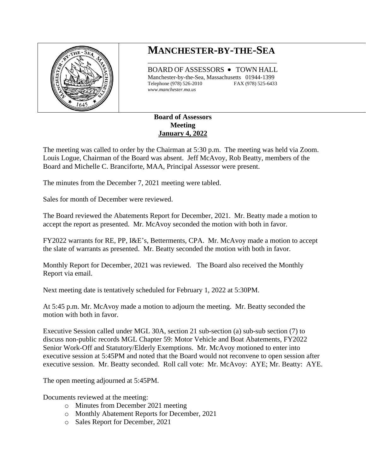

## **MANCHESTER-BY-THE-SEA** \_\_\_\_\_\_\_\_\_\_\_\_\_\_\_\_\_\_\_\_\_\_\_\_\_\_\_\_\_\_\_\_\_\_\_\_

BOARD OF ASSESSORS • TOWN HALL Manchester-by-the-Sea, Massachusetts 01944-1399 Telephone (978) 526-2010 FAX (978) 525-6433 *www.manchester.ma.us*

## **Board of Assessors Meeting January 4, 2022**

The meeting was called to order by the Chairman at 5:30 p.m. The meeting was held via Zoom. Louis Logue, Chairman of the Board was absent. Jeff McAvoy, Rob Beatty, members of the Board and Michelle C. Branciforte, MAA, Principal Assessor were present.

The minutes from the December 7, 2021 meeting were tabled.

Sales for month of December were reviewed.

The Board reviewed the Abatements Report for December, 2021. Mr. Beatty made a motion to accept the report as presented. Mr. McAvoy seconded the motion with both in favor.

FY2022 warrants for RE, PP, I&E's, Betterments, CPA. Mr. McAvoy made a motion to accept the slate of warrants as presented. Mr. Beatty seconded the motion with both in favor.

Monthly Report for December, 2021 was reviewed. The Board also received the Monthly Report via email.

Next meeting date is tentatively scheduled for February 1, 2022 at 5:30PM.

At 5:45 p.m. Mr. McAvoy made a motion to adjourn the meeting. Mr. Beatty seconded the motion with both in favor.

Executive Session called under MGL 30A, section 21 sub-section (a) sub-sub section (7) to discuss non-public records MGL Chapter 59: Motor Vehicle and Boat Abatements, FY2022 Senior Work-Off and Statutory/Elderly Exemptions. Mr. McAvoy motioned to enter into executive session at 5:45PM and noted that the Board would not reconvene to open session after executive session. Mr. Beatty seconded. Roll call vote: Mr. McAvoy: AYE; Mr. Beatty: AYE.

The open meeting adjourned at 5:45PM.

Documents reviewed at the meeting:

- o Minutes from December 2021 meeting
- o Monthly Abatement Reports for December, 2021
- o Sales Report for December, 2021